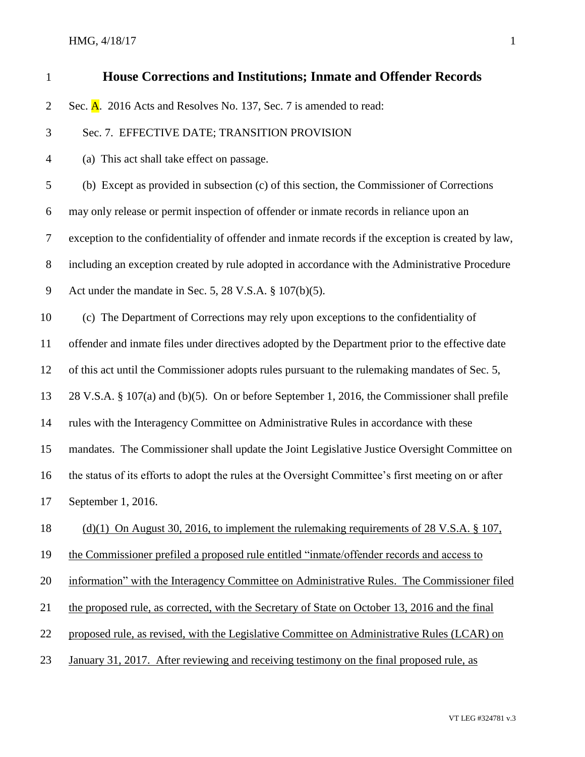## HMG,  $4/18/17$  1

| $\mathbf{1}$   | <b>House Corrections and Institutions; Inmate and Offender Records</b>                              |
|----------------|-----------------------------------------------------------------------------------------------------|
| $\overline{2}$ | Sec. A. 2016 Acts and Resolves No. 137, Sec. 7 is amended to read:                                  |
| 3              | Sec. 7. EFFECTIVE DATE; TRANSITION PROVISION                                                        |
| $\overline{4}$ | (a) This act shall take effect on passage.                                                          |
| 5              | (b) Except as provided in subsection (c) of this section, the Commissioner of Corrections           |
| 6              | may only release or permit inspection of offender or inmate records in reliance upon an             |
| $\overline{7}$ | exception to the confidentiality of offender and inmate records if the exception is created by law, |
| $8\,$          | including an exception created by rule adopted in accordance with the Administrative Procedure      |
| $\overline{9}$ | Act under the mandate in Sec. 5, 28 V.S.A. $\S$ 107(b)(5).                                          |
| 10             | (c) The Department of Corrections may rely upon exceptions to the confidentiality of                |
| 11             | offender and inmate files under directives adopted by the Department prior to the effective date    |
| 12             | of this act until the Commissioner adopts rules pursuant to the rulemaking mandates of Sec. 5,      |
| 13             | 28 V.S.A. § 107(a) and (b)(5). On or before September 1, 2016, the Commissioner shall prefile       |
| 14             | rules with the Interagency Committee on Administrative Rules in accordance with these               |
| 15             | mandates. The Commissioner shall update the Joint Legislative Justice Oversight Committee on        |
| 16             | the status of its efforts to adopt the rules at the Oversight Committee's first meeting on or after |
| 17             | September 1, 2016.                                                                                  |
| 18             | (d)(1) On August 30, 2016, to implement the rulemaking requirements of 28 V.S.A. $\S$ 107,          |
| 19             | the Commissioner prefiled a proposed rule entitled "inmate/offender records and access to           |
| 20             | information" with the Interagency Committee on Administrative Rules. The Commissioner filed         |
| 21             | the proposed rule, as corrected, with the Secretary of State on October 13, 2016 and the final      |
| 22             | proposed rule, as revised, with the Legislative Committee on Administrative Rules (LCAR) on         |
| 23             | January 31, 2017. After reviewing and receiving testimony on the final proposed rule, as            |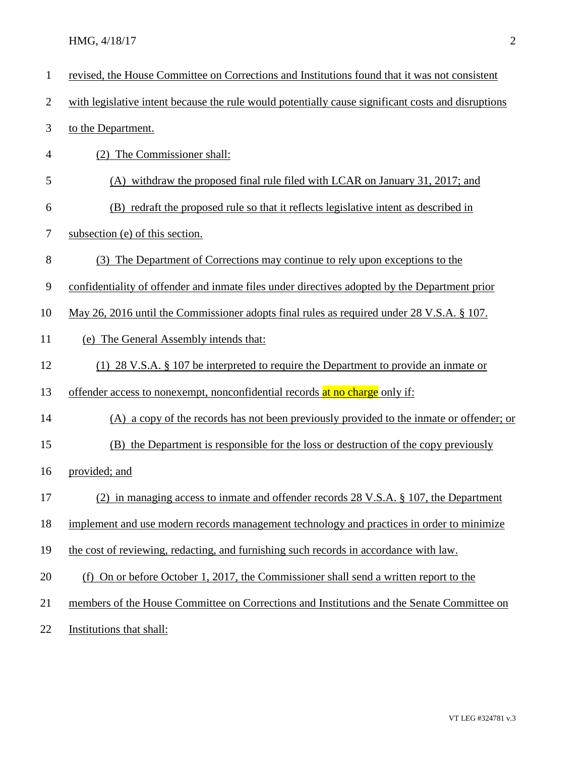| $\mathbf{1}$   | revised, the House Committee on Corrections and Institutions found that it was not consistent      |
|----------------|----------------------------------------------------------------------------------------------------|
| $\overline{c}$ | with legislative intent because the rule would potentially cause significant costs and disruptions |
| 3              | to the Department.                                                                                 |
| 4              | (2) The Commissioner shall:                                                                        |
| 5              | (A) withdraw the proposed final rule filed with LCAR on January 31, 2017; and                      |
| 6              | (B) redraft the proposed rule so that it reflects legislative intent as described in               |
| 7              | subsection (e) of this section.                                                                    |
| 8              | (3) The Department of Corrections may continue to rely upon exceptions to the                      |
| 9              | confidentiality of offender and inmate files under directives adopted by the Department prior      |
| 10             | May 26, 2016 until the Commissioner adopts final rules as required under 28 V.S.A. § 107.          |
| 11             | (e) The General Assembly intends that:                                                             |
| 12             | (1) 28 V.S.A. $\S$ 107 be interpreted to require the Department to provide an inmate or            |
| 13             | offender access to nonexempt, nonconfidential records at no charge only if:                        |
| 14             | (A) a copy of the records has not been previously provided to the inmate or offender; or           |
| 15             | (B) the Department is responsible for the loss or destruction of the copy previously               |
| 16             | provided; and                                                                                      |
| 17             | (2) in managing access to inmate and offender records 28 V.S.A. § 107, the Department              |
| 18             | implement and use modern records management technology and practices in order to minimize          |
| 19             | the cost of reviewing, redacting, and furnishing such records in accordance with law.              |
| 20             | (f) On or before October 1, 2017, the Commissioner shall send a written report to the              |
| 21             | members of the House Committee on Corrections and Institutions and the Senate Committee on         |
|                |                                                                                                    |

22 Institutions that shall: